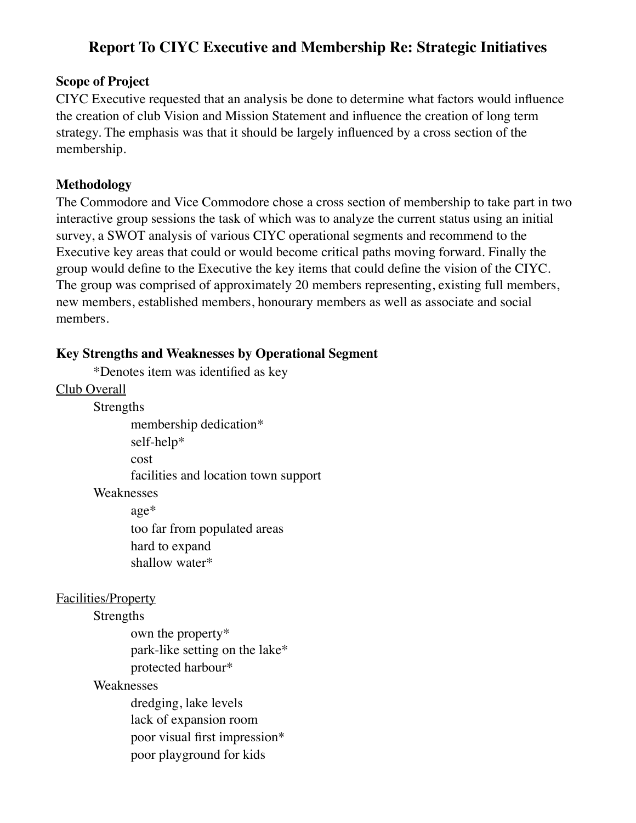# **Report To CIYC Executive and Membership Re: Strategic Initiatives**

### **Scope of Project**

CIYC Executive requested that an analysis be done to determine what factors would influence the creation of club Vision and Mission Statement and influence the creation of long term strategy. The emphasis was that it should be largely influenced by a cross section of the membership.

### **Methodology**

The Commodore and Vice Commodore chose a cross section of membership to take part in two interactive group sessions the task of which was to analyze the current status using an initial survey, a SWOT analysis of various CIYC operational segments and recommend to the Executive key areas that could or would become critical paths moving forward. Finally the group would define to the Executive the key items that could define the vision of the CIYC. The group was comprised of approximately 20 members representing, existing full members, new members, established members, honourary members as well as associate and social members.

### **Key Strengths and Weaknesses by Operational Segment**

\*Denotes item was identified as key

Club Overall

Strengths

membership dedication\*

self-help\*

cost

facilities and location town support

Weaknesses

age\*

too far from populated areas hard to expand shallow water\*

#### Facilities/Property

#### Strengths

own the property\* park-like setting on the lake\* protected harbour\*

#### Weaknesses

dredging, lake levels lack of expansion room poor visual first impression\* poor playground for kids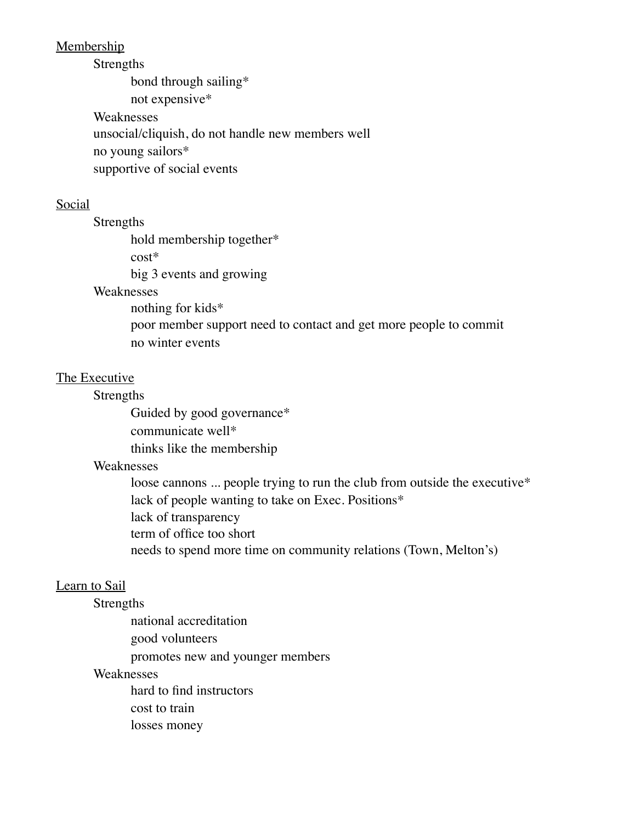#### Membership

#### Strengths

bond through sailing\*

not expensive\*

Weaknesses unsocial/cliquish, do not handle new members well no young sailors\* supportive of social events

#### Social

Strengths

hold membership together\*

cost\*

big 3 events and growing

### Weaknesses

nothing for kids\* poor member support need to contact and get more people to commit no winter events

#### The Executive

#### **Strengths**

Guided by good governance\* communicate well\* thinks like the membership

#### Weaknesses

loose cannons ... people trying to run the club from outside the executive\* lack of people wanting to take on Exec. Positions\* lack of transparency term of office too short needs to spend more time on community relations (Town, Melton's)

### Learn to Sail

#### Strengths

national accreditation good volunteers promotes new and younger members

#### Weaknesses

hard to find instructors cost to train losses money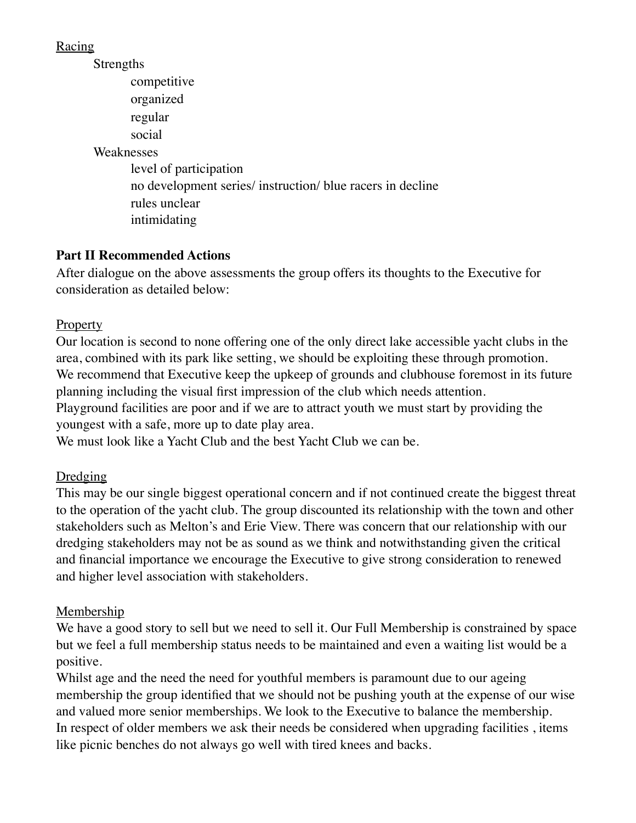Racing

Strengths

competitive organized regular social Weaknesses level of participation no development series/ instruction/ blue racers in decline rules unclear intimidating

# **Part II Recommended Actions**

After dialogue on the above assessments the group offers its thoughts to the Executive for consideration as detailed below:

# **Property**

Our location is second to none offering one of the only direct lake accessible yacht clubs in the area, combined with its park like setting, we should be exploiting these through promotion. We recommend that Executive keep the upkeep of grounds and clubhouse foremost in its future planning including the visual first impression of the club which needs attention. Playground facilities are poor and if we are to attract youth we must start by providing the

youngest with a safe, more up to date play area.

We must look like a Yacht Club and the best Yacht Club we can be.

# Dredging

This may be our single biggest operational concern and if not continued create the biggest threat to the operation of the yacht club. The group discounted its relationship with the town and other stakeholders such as Melton's and Erie View. There was concern that our relationship with our dredging stakeholders may not be as sound as we think and notwithstanding given the critical and financial importance we encourage the Executive to give strong consideration to renewed and higher level association with stakeholders.

# Membership

We have a good story to sell but we need to sell it. Our Full Membership is constrained by space but we feel a full membership status needs to be maintained and even a waiting list would be a positive.

Whilst age and the need the need for youthful members is paramount due to our ageing membership the group identified that we should not be pushing youth at the expense of our wise and valued more senior memberships. We look to the Executive to balance the membership. In respect of older members we ask their needs be considered when upgrading facilities , items like picnic benches do not always go well with tired knees and backs.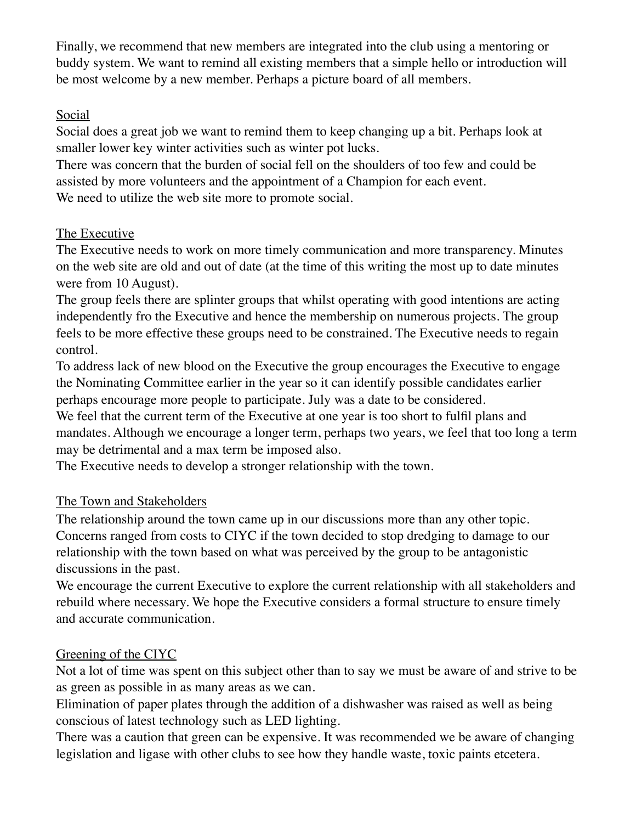Finally, we recommend that new members are integrated into the club using a mentoring or buddy system. We want to remind all existing members that a simple hello or introduction will be most welcome by a new member. Perhaps a picture board of all members.

## **Social**

Social does a great job we want to remind them to keep changing up a bit. Perhaps look at smaller lower key winter activities such as winter pot lucks.

There was concern that the burden of social fell on the shoulders of too few and could be assisted by more volunteers and the appointment of a Champion for each event. We need to utilize the web site more to promote social.

# The Executive

The Executive needs to work on more timely communication and more transparency. Minutes on the web site are old and out of date (at the time of this writing the most up to date minutes were from 10 August).

The group feels there are splinter groups that whilst operating with good intentions are acting independently fro the Executive and hence the membership on numerous projects. The group feels to be more effective these groups need to be constrained. The Executive needs to regain control.

To address lack of new blood on the Executive the group encourages the Executive to engage the Nominating Committee earlier in the year so it can identify possible candidates earlier perhaps encourage more people to participate. July was a date to be considered.

We feel that the current term of the Executive at one year is too short to fulfil plans and mandates. Although we encourage a longer term, perhaps two years, we feel that too long a term may be detrimental and a max term be imposed also.

The Executive needs to develop a stronger relationship with the town.

# The Town and Stakeholders

The relationship around the town came up in our discussions more than any other topic. Concerns ranged from costs to CIYC if the town decided to stop dredging to damage to our relationship with the town based on what was perceived by the group to be antagonistic discussions in the past.

We encourage the current Executive to explore the current relationship with all stakeholders and rebuild where necessary. We hope the Executive considers a formal structure to ensure timely and accurate communication.

## Greening of the CIYC

Not a lot of time was spent on this subject other than to say we must be aware of and strive to be as green as possible in as many areas as we can.

Elimination of paper plates through the addition of a dishwasher was raised as well as being conscious of latest technology such as LED lighting.

There was a caution that green can be expensive. It was recommended we be aware of changing legislation and ligase with other clubs to see how they handle waste, toxic paints etcetera.